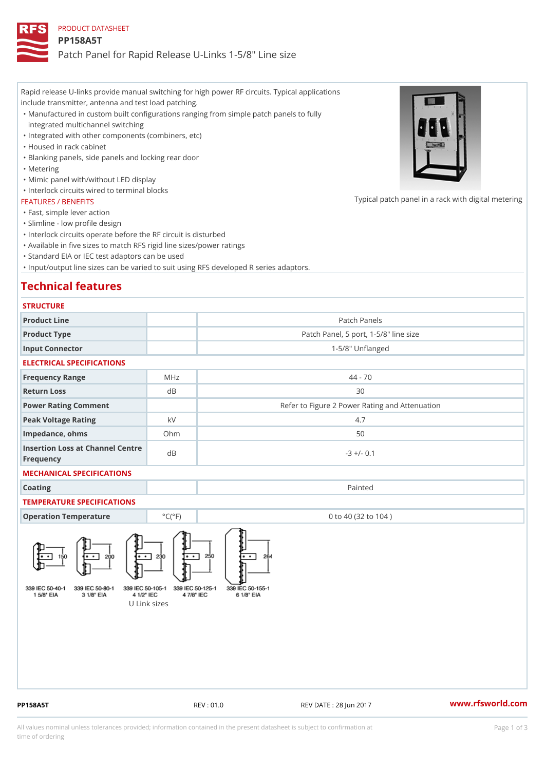Rapid release U-links provide manual switching for high power RF circuits. Typical applications include transmitter, antenna and test load patching.

Manufactured in custom built configurations ranging from simple patch panels to fully " integrated multichannel switching

"Integrated with other components (combiners, etc)

"Housed in rack cabinet

"Blanking panels, side panels and locking rear door

"Metering

"Mimic panel with/without LED display

"Interlock circuits wired to terminal blocks

#### FEATURES / BENEFITS

"Fast, simple lever action

"Slimline - low profile design

"Interlock circuits operate before the RF circuit is disturbed

"Available in five sizes to match RFS rigid line sizes/power ratings

"Standard EIA or IEC test adaptors can be used

"Input/output line sizes can be varied to suit using RFS developed R series adaptors.

# Technical features

| <b>STRUCTURE</b>                              |                              |                                                |
|-----------------------------------------------|------------------------------|------------------------------------------------|
| Product Line                                  |                              | Patch Panels                                   |
| Product Type                                  |                              | Patch Panel, 5 port, 1-5/8" line size          |
| Input Connector                               |                              | $1 - 5/8$ " Unflanged                          |
| ELECTRICAL SPECIFICATIONS                     |                              |                                                |
| Frequency Range                               | MHz                          | $44 - 70$                                      |
| Return Loss                                   | $d$ B                        | 30                                             |
| Power Rating Comment                          |                              | Refer to Figure 2 Power Rating and Attenuation |
| Peak Voltage Rating                           | k V                          | 4.7                                            |
| Impedance, ohms                               | $Oh$ m                       | 50                                             |
| Insertion Loss at Channel Centre<br>Frequency |                              | $-3$ +/- 0.1                                   |
| MECHANICAL SPECIFICATIONS                     |                              |                                                |
| Coating                                       |                              | Painted                                        |
| TEMPERATURE SPECIFICATIONS                    |                              |                                                |
| Operation Temperature                         | $^{\circ}$ C ( $^{\circ}$ F) | 0 to 40 (32 to 104)                            |

U Link sizes

PP158A5T REV : 01.0 REV DATE : 28 Jun 2017 [www.](https://www.rfsworld.com)rfsworld.com

Typical patch panel in a rack with d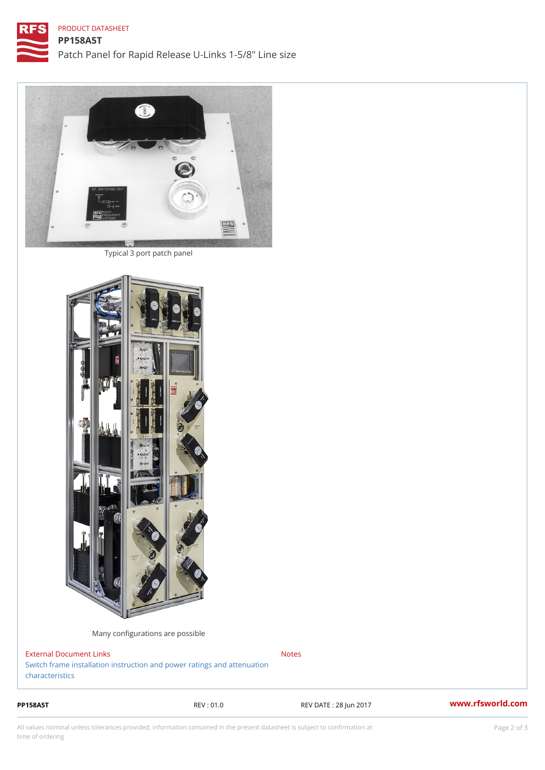### PRODUCT DATASHEET

Typical 3 port patch panel

Many configurations are possible

External Document Links [Switch frame installation instruction and power](https://www.rfsworld.com/images/broadcast_products/rigid line power ratings.pdf) ratings and attenuation [character](https://www.rfsworld.com/images/broadcast_products/rigid line power ratings.pdf)istics Notes

PP158A5T REV : 01.0 REV DATE : 28 Jun 2017 [www.](https://www.rfsworld.com)rfsworld.com

All values nominal unless tolerances provided; information contained in the present datasheet is subject to Pcapgelio an atio time of ordering